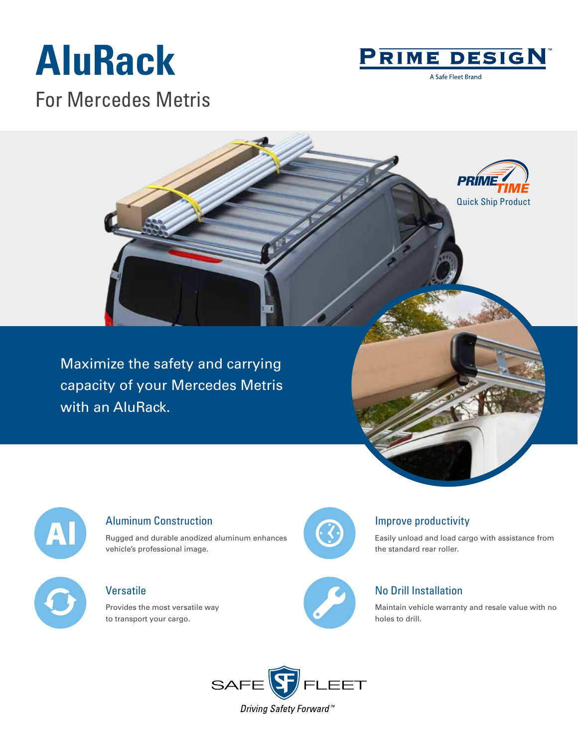## **AluRack**



A Safe Fleet Brand

For Mercedes Metris





#### Aluminum Construction

Rugged and durable anodized aluminum enhances vehicle's professional image.

### Versatile

Provides the most versatile way to transport your cargo.



### Improve productivity

Easily unload and load cargo with assistance from the standard rear roller.



### No Drill Installation

Maintain vehicle warranty and resale value with no holes to drill.